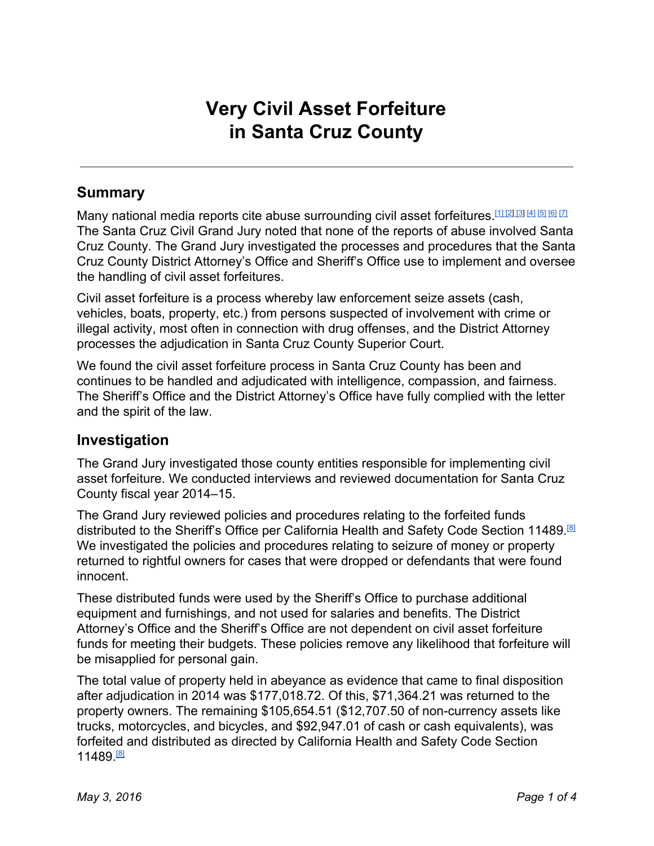# **Very Civil Asset Forfeiture in Santa Cruz County**

### **Summary**

Many national media reports cite abuse surrounding civil asset forfeitures. [11] [\[2\]](https://www.washingtonpost.com/opinions/tim-walberg-an-end-to-the-abuse-of-civil-forfeiture/2014/09/04/e7b9d07a-3395-11e4-9e92-0899b306bbea_story.html) [\[3\]](http://www.bloomberg.com/politics/articles/2016-01-22/oklahoma-is-the-latest-state-to-consider-curbing-police-power) [\[4\]](http://www.dispatch.com/content/stories/editorials/2015/09/07/1-unreasonable-seizure.html) [\[5\]](http://nymag.com/daily/intelligencer/2015/11/police-seizing-more-money-than-ever.html) [\[6\]](http://time.com/money/4106485/police-private-property-seizure/) [\[7\]](https://www.google.com/search?q=civil+asset+forfeiture+california) The Santa Cruz Civil Grand Jury noted that none of the reports of abuse involved Santa Cruz County. The Grand Jury investigated the processes and procedures that the Santa Cruz County District Attorney's Office and Sheriff's Office use to implement and oversee the handling of civil asset forfeitures.

Civil asset forfeiture is a process whereby law enforcement seize assets (cash, vehicles, boats, property, etc.) from persons suspected of involvement with crime or illegal activity, most often in connection with drug offenses, and the District Attorney processes the adjudication in Santa Cruz County Superior Court.

We found the civil asset forfeiture process in Santa Cruz County has been and continues to be handled and adjudicated with intelligence, compassion, and fairness. The Sheriff's Office and the District Attorney's Office have fully complied with the letter and the spirit of the law.

#### **Investigation**

The Grand Jury investigated those county entities responsible for implementing civil asset forfeiture. We conducted interviews and reviewed documentation for Santa Cruz County fiscal year 2014–15.

The Grand Jury reviewed policies and procedures relating to the forfeited funds distributed to the Sheriff's Office per California Health and Safety Code Section 11489.<sup>88</sup> We investigated the policies and procedures relating to seizure of money or property returned to rightful owners for cases that were dropped or defendants that were found innocent.

These distributed funds were used by the Sheriff's Office to purchase additional equipment and furnishings, and not used for salaries and benefits. The District Attorney's Office and the Sheriff's Office are not dependent on civil asset forfeiture funds for meeting their budgets. These policies remove any likelihood that forfeiture will be misapplied for personal gain.

The total value of property held in abeyance as evidence that came to final disposition after adjudication in 2014 was \$177,018.72. Of this, \$71,364.21 was returned to the property owners. The remaining \$105,654.51 (\$12,707.50 of non-currency assets like trucks, motorcycles, and bicycles, and \$92,947.01 of cash or cash equivalents), was forfeited and distributed as directed by California Health and Safety Code Section 11489.<sup><u>81</u></sup>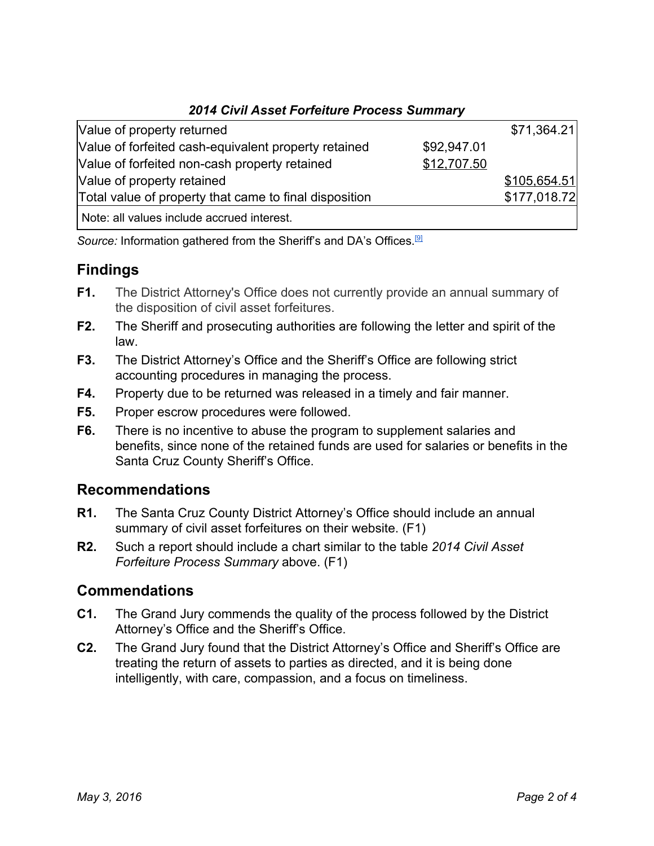|  |  |  |  | 2014 Civil Asset Forfeiture Process Summary |
|--|--|--|--|---------------------------------------------|
|--|--|--|--|---------------------------------------------|

| Value of property returned                             |             | \$71,364.21  |
|--------------------------------------------------------|-------------|--------------|
| Value of forfeited cash-equivalent property retained   | \$92,947.01 |              |
| Value of forfeited non-cash property retained          | \$12,707.50 |              |
| Value of property retained                             |             | \$105,654.51 |
| Total value of property that came to final disposition |             | \$177,018.72 |
| Note: all values include accrued interest.             |             |              |

Source: Information gathered from the Sheriff's and DA's Offices.<sup>[\[9\]](https://oag.ca.gov/sites/all/files/agweb/pdfs/publications/asset_forf/2014_af/2014-af.pdf#page=356)</sup>

## **Findings**

- **F1.** The District Attorney's Office does not currently provide an annual summary of the disposition of civil asset forfeitures.
- **F2.** The Sheriff and prosecuting authorities are following the letter and spirit of the law.
- **F3.** The District Attorney's Office and the Sheriff's Office are following strict accounting procedures in managing the process.
- **F4.** Property due to be returned was released in a timely and fair manner.
- **F5.** Proper escrow procedures were followed.
- **F6.** There is no incentive to abuse the program to supplement salaries and benefits, since none of the retained funds are used for salaries or benefits in the Santa Cruz County Sheriff's Office.

### **Recommendations**

- **R1.** The Santa Cruz County District Attorney's Office should include an annual summary of civil asset forfeitures on their website. (F1)
- **R2.** Such a report should include a chart similar to the table *2014 Civil Asset Forfeiture Process Summary* above. (F1)

### **Commendations**

- **C1.** The Grand Jury commends the quality of the process followed by the District Attorney's Office and the Sheriff's Office.
- **C2.** The Grand Jury found that the District Attorney's Office and Sheriff's Office are treating the return of assets to parties as directed, and it is being done intelligently, with care, compassion, and a focus on timeliness.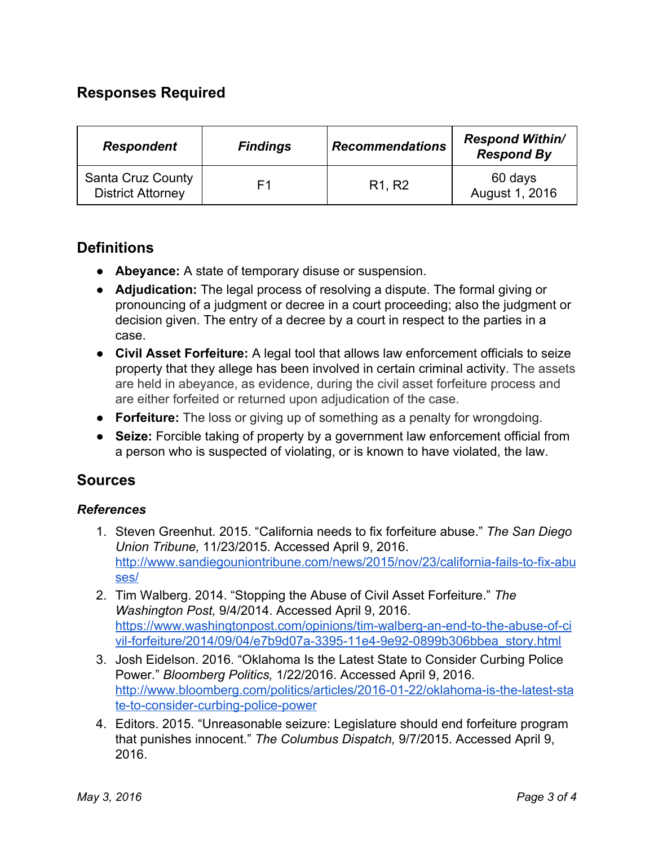### **Responses Required**

| <b>Respondent</b>                             | <b>Findings</b> | <b>Recommendations</b>          | <b>Respond Within/</b><br><b>Respond By</b> |
|-----------------------------------------------|-----------------|---------------------------------|---------------------------------------------|
| Santa Cruz County<br><b>District Attorney</b> | F1              | R <sub>1</sub> , R <sub>2</sub> | 60 days<br>August 1, 2016                   |

#### **Definitions**

- **Abeyance:**A state of temporary disuse or suspension.
- **Adjudication:**The legal process of resolving a dispute. The formal giving or pronouncing of a judgment or decree in a court proceeding; also the judgment or decision given. The entry of a decree by a court in respect to the parties in a case.
- **Civil Asset Forfeiture:**A legal tool that allows law enforcement officials to seize property that they allege has been involved in certain criminal activity. The assets are held in abeyance, as evidence, during the civil asset forfeiture process and are either forfeited or returned upon adjudication of the case.
- **Forfeiture:**The loss or giving up of something as a penalty for wrongdoing.
- **Seize:**Forcible taking of property by a government law enforcement official from a person who is suspected of violating, or is known to have violated, the law.

#### **Sources**

#### *References*

- 1. Steven Greenhut. 2015. "California needs to fix forfeiture abuse." *The San Diego Union Tribune,* 11/23/2015. Accessed April 9, 2016. http://www.sandiegouniontribune.com/news/2015/nov/23/california-fails-to-fix-abu [ses/](http://www.sandiegouniontribune.com/news/2015/nov/23/california-fails-to-fix-abuses/)
- 2. Tim Walberg. 2014. "Stopping the Abuse of Civil Asset Forfeiture." *The Washington Post,* 9/4/2014. Accessed April 9, 2016. https://www.washingtonpost.com/opinions/tim-walberg-an-end-to-the-abuse-of-ci vil-forfeiture/2014/09/04/e7b9d07a-3395-11e4-9e92-0899b306bbea\_story.html
- 3. Josh [Eidelson.](http://www.bloomberg.com/politics/authors/AR41B2NsK10/josh-eidelson) 2016. "Oklahoma Is the Latest State to Consider Curbing Police Power." *Bloomberg Politics,* 1/22/2016. Accessed April 9, 2016. http://www.bloomberg.com/politics/articles/2016-01-22/oklahoma-is-the-latest-sta te-to-consider-curbing-police-power
- 4. Editors. 2015. "Unreasonable seizure: Legislature should end forfeiture program that punishes innocent." *The Columbus Dispatch,* 9/7/2015. Accessed April 9, 2016.